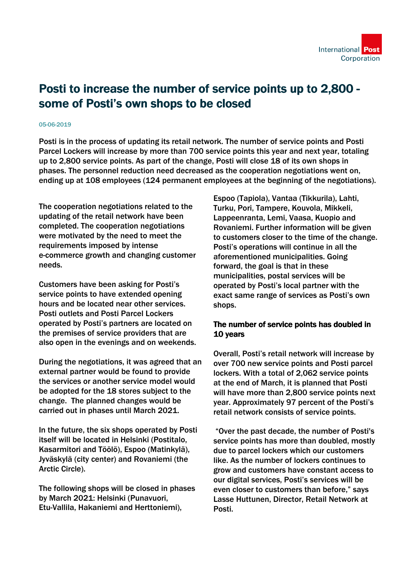## Posti to increase the number of service points up to 2,800 some of Posti's own shops to be closed

## 05-06-2019

Posti is in the process of updating its retail network. The number of service points and Posti Parcel Lockers will increase by more than 700 service points this year and next year, totaling up to 2,800 service points. As part of the change, Posti will close 18 of its own shops in phases. The personnel reduction need decreased as the cooperation negotiations went on, ending up at 108 employees (124 permanent employees at the beginning of the negotiations).

The cooperation negotiations related to the updating of the retail network have been completed. The cooperation negotiations were motivated by the need to meet the requirements imposed by intense e-commerce growth and changing customer needs.

Customers have been asking for Posti's service points to have extended opening hours and be located near other services. Posti outlets and Posti Parcel Lockers operated by Posti's partners are located on the premises of service providers that are also open in the evenings and on weekends.

During the negotiations, it was agreed that an external partner would be found to provide the services or another service model would be adopted for the 18 stores subject to the change. The planned changes would be carried out in phases until March 2021.

In the future, the six shops operated by Posti itself will be located in Helsinki (Postitalo, Kasarmitori and Töölö), Espoo (Matinkylä), Jyväskylä (city center) and Rovaniemi (the Arctic Circle).

The following shops will be closed in phases by March 2021: Helsinki (Punavuori, Etu-Vallila, Hakaniemi and Herttoniemi),

Espoo (Tapiola), Vantaa (Tikkurila), Lahti, Turku, Pori, Tampere, Kouvola, Mikkeli, Lappeenranta, Lemi, Vaasa, Kuopio and Rovaniemi. Further information will be given to customers closer to the time of the change. Posti's operations will continue in all the aforementioned municipalities. Going forward, the goal is that in these municipalities, postal services will be operated by Posti's local partner with the exact same range of services as Posti's own shops.

## The number of service points has doubled in 10 years

Overall, Posti's retail network will increase by over 700 new service points and Posti parcel lockers. With a total of 2,062 service points at the end of March, it is planned that Posti will have more than 2,800 service points next year. Approximately 97 percent of the Posti's retail network consists of service points.

 "Over the past decade, the number of Posti's service points has more than doubled, mostly due to parcel lockers which our customers like. As the number of lockers continues to grow and customers have constant access to our digital services, Posti's services will be even closer to customers than before," says Lasse Huttunen, Director, Retail Network at Posti.